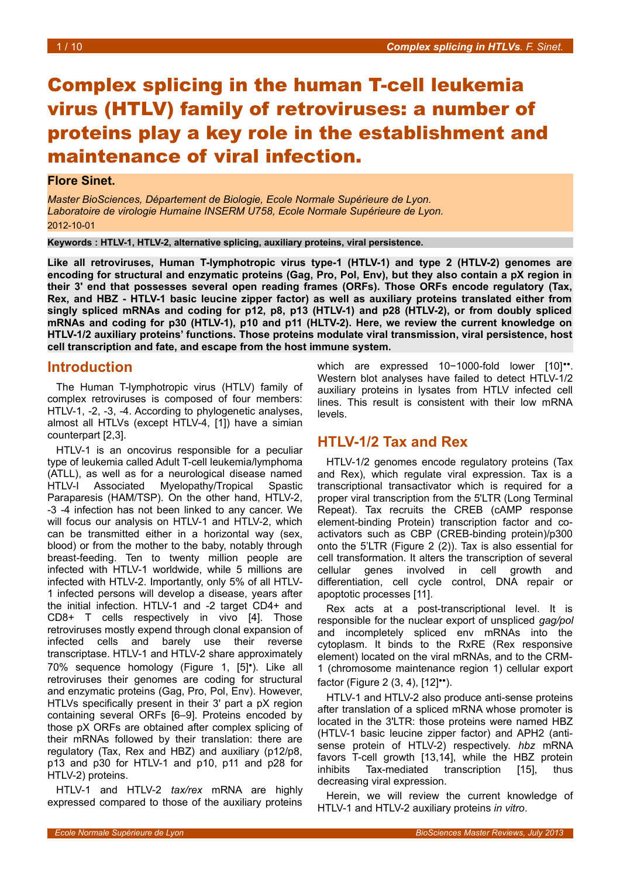# Complex splicing in the human T-cell leukemia virus (HTLV) family of retroviruses: a number of proteins play a key role in the establishment and maintenance of viral infection.

#### **Flore Sinet.**

*Master BioSciences, Département de Biologie, Ecole Normale Supérieure de Lyon. Laboratoire de virologie Humaine INSERM U758, Ecole Normale Supérieure de Lyon.* 2012-10-01

**Keywords : HTLV-1, HTLV-2, alternative splicing, auxiliary proteins, viral persistence.**

**Like all retroviruses, Human T-lymphotropic virus type-1 (HTLV-1) and type 2 (HTLV-2) genomes are encoding for structural and enzymatic proteins (Gag, Pro, Pol, Env), but they also contain a pX region in their 3' end that possesses several open reading frames (ORFs). Those ORFs encode regulatory (Tax, Rex, and HBZ - HTLV-1 basic leucine zipper factor) as well as auxiliary proteins translated either from singly spliced mRNAs and coding for p12, p8, p13 (HTLV-1) and p28 (HTLV-2), or from doubly spliced mRNAs and coding for p30 (HTLV-1), p10 and p11 (HLTV-2). Here, we review the current knowledge on HTLV-1/2 auxiliary proteins' functions. Those proteins modulate viral transmission, viral persistence, host cell transcription and fate, and escape from the host immune system.**

#### **Introduction**

The Human T-lymphotropic virus (HTLV) family of complex retroviruses is composed of four members: HTLV-1, -2, -3, -4. According to phylogenetic analyses, almost all HTLVs (except HTLV-4, [1]) have a simian counterpart [2,3].

HTLV-1 is an oncovirus responsible for a peculiar type of leukemia called Adult T-cell leukemia/lymphoma (ATLL), as well as for a neurological disease named HTLV-I Associated Myelopathy/Tropical Spastic Paraparesis (HAM/TSP). On the other hand, HTLV-2, -3 -4 infection has not been linked to any cancer. We will focus our analysis on HTLV-1 and HTLV-2, which can be transmitted either in a horizontal way (sex, blood) or from the mother to the baby, notably through breast-feeding. Ten to twenty million people are infected with HTLV-1 worldwide, while 5 millions are infected with HTLV-2. Importantly, only 5% of all HTLV-1 infected persons will develop a disease, years after the initial infection. HTLV-1 and -2 target CD4+ and CD8+ T cells respectively in vivo [4]. Those retroviruses mostly expend through clonal expansion of infected cells and barely use their reverse transcriptase. HTLV-1 and HTLV-2 share approximately 70% sequence homology (Figure [1,](#page-1-0) [5]•). Like all retroviruses their genomes are coding for structural and enzymatic proteins (Gag, Pro, Pol, Env). However, HTLVs specifically present in their 3' part a pX region containing several ORFs [6–9]. Proteins encoded by those pX ORFs are obtained after complex splicing of their mRNAs followed by their translation: there are regulatory (Tax, Rex and HBZ) and auxiliary (p12/p8, p13 and p30 for HTLV-1 and p10, p11 and p28 for HTLV-2) proteins.

HTLV-1 and HTLV-2 *tax/rex* mRNA are highly expressed compared to those of the auxiliary proteins which are expressed 10−1000-fold lower [10]••. Western blot analyses have failed to detect HTLV-1/2 auxiliary proteins in lysates from HTLV infected cell lines. This result is consistent with their low mRNA levels.

## **HTLV-1/2 Tax and Rex**

HTLV-1/2 genomes encode regulatory proteins (Tax and Rex), which regulate viral expression. Tax is a transcriptional transactivator which is required for a proper viral transcription from the 5'LTR (Long Terminal Repeat). Tax recruits the CREB (cAMP response element-binding Protein) transcription factor and coactivators such as CBP (CREB-binding protein)/p300 onto the 5'LTR (Figure [2](#page-2-0) (2)). Tax is also essential for cell transformation. It alters the transcription of several cellular genes involved in cell growth and differentiation, cell cycle control, DNA repair or apoptotic processes [11].

Rex acts at a post-transcriptional level. It is responsible for the nuclear export of unspliced *gag/pol* and incompletely spliced env mRNAs into the cytoplasm. It binds to the RxRE (Rex responsive element) located on the viral mRNAs, and to the CRM-1 (chromosome maintenance region 1) cellular export factor (Figure [2](#page-2-0) (3, 4), [12]••).

HTLV-1 and HTLV-2 also produce anti-sense proteins after translation of a spliced mRNA whose promoter is located in the 3'LTR: those proteins were named HBZ (HTLV-1 basic leucine zipper factor) and APH2 (antisense protein of HTLV-2) respectively. *hbz* mRNA favors T-cell growth [13,14], while the HBZ protein inhibits Tax-mediated transcription [15], thus decreasing viral expression.

Herein, we will review the current knowledge of HTLV-1 and HTLV-2 auxiliary proteins *in vitro*.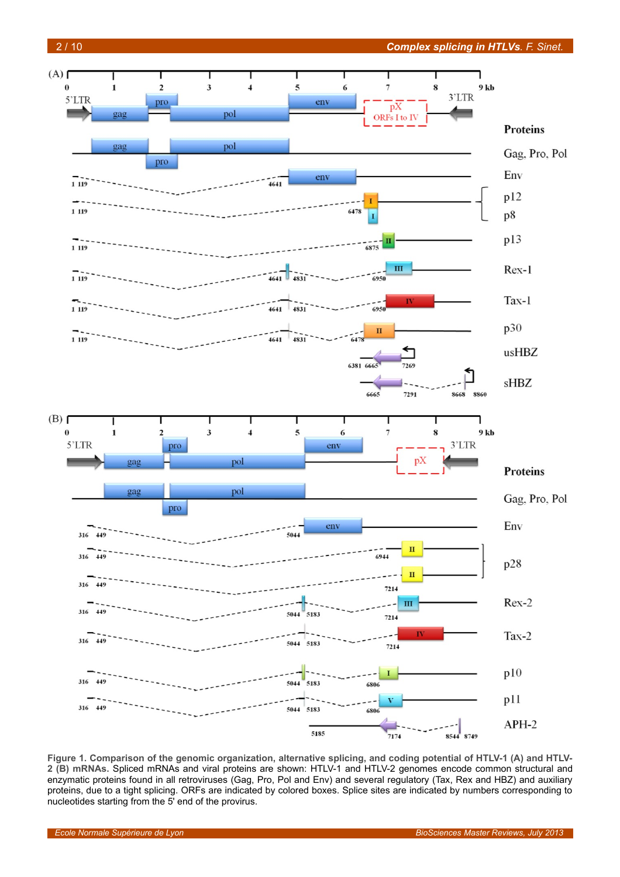



<span id="page-1-0"></span>**Figure 1. Comparison of the genomic organization, alternative splicing, and coding potential of HTLV-1 (A) and HTLV-2 (B) mRNAs.** Spliced mRNAs and viral proteins are shown: HTLV-1 and HTLV-2 genomes encode common structural and enzymatic proteins found in all retroviruses (Gag, Pro, Pol and Env) and several regulatory (Tax, Rex and HBZ) and auxiliary proteins, due to a tight splicing. ORFs are indicated by colored boxes. Splice sites are indicated by numbers corresponding to nucleotides starting from the 5' end of the provirus.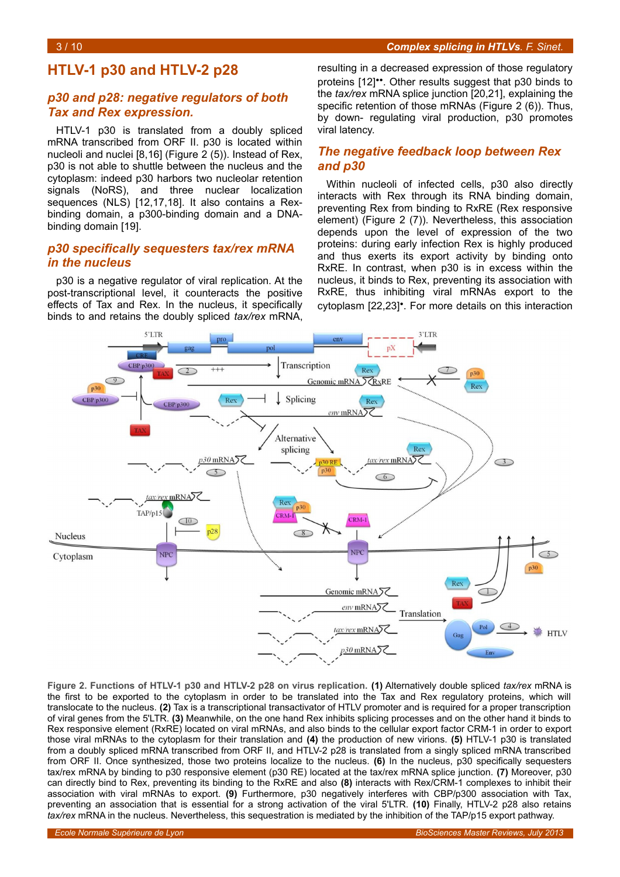# **HTLV-1 p30 and HTLV-2 p28**

#### *p30 and p28: negative regulators of both Tax and Rex expression.*

HTLV-1 p30 is translated from a doubly spliced mRNA transcribed from ORF II. p30 is located within nucleoli and nuclei [8,16] (Figure [2](#page-2-0) (5)). Instead of Rex, p30 is not able to shuttle between the nucleus and the cytoplasm: indeed p30 harbors two nucleolar retention signals (NoRS), and three nuclear localization sequences (NLS) [12,17,18]. It also contains a Rexbinding domain, a p300-binding domain and a DNAbinding domain [19].

#### *p30 specifically sequesters tax/rex mRNA in the nucleus*

p30 is a negative regulator of viral replication. At the post-transcriptional level, it counteracts the positive effects of Tax and Rex. In the nucleus, it specifically binds to and retains the doubly spliced *tax/rex* mRNA, resulting in a decreased expression of those regulatory proteins [12]••. Other results suggest that p30 binds to the *tax/rex* mRNA splice junction [20,21], explaining the specific retention of those mRNAs (Figure [2](#page-2-0) (6)). Thus, by down- regulating viral production, p30 promotes viral latency.

#### *The negative feedback loop between Rex and p30*

Within nucleoli of infected cells, p30 also directly interacts with Rex through its RNA binding domain, preventing Rex from binding to RxRE (Rex responsive element) (Figure [2](#page-2-0) (7)). Nevertheless, this association depends upon the level of expression of the two proteins: during early infection Rex is highly produced and thus exerts its export activity by binding onto RxRE. In contrast, when p30 is in excess within the nucleus, it binds to Rex, preventing its association with RxRE, thus inhibiting viral mRNAs export to the cytoplasm [22,23]•. For more details on this interaction



<span id="page-2-0"></span>**Figure 2. Functions of HTLV-1 p30 and HTLV-2 p28 on virus replication. (1)** Alternatively double spliced *tax/rex* mRNA is the first to be exported to the cytoplasm in order to be translated into the Tax and Rex regulatory proteins, which will translocate to the nucleus. **(2)** Tax is a transcriptional transactivator of HTLV promoter and is required for a proper transcription of viral genes from the 5'LTR. **(3)** Meanwhile, on the one hand Rex inhibits splicing processes and on the other hand it binds to Rex responsive element (RxRE) located on viral mRNAs, and also binds to the cellular export factor CRM-1 in order to export those viral mRNAs to the cytoplasm for their translation and **(4)** the production of new virions. **(5)** HTLV-1 p30 is translated from a doubly spliced mRNA transcribed from ORF II, and HTLV-2 p28 is translated from a singly spliced mRNA transcribed from ORF II. Once synthesized, those two proteins localize to the nucleus. **(6)** In the nucleus, p30 specifically sequesters tax/rex mRNA by binding to p30 responsive element (p30 RE) located at the tax/rex mRNA splice junction. **(7)** Moreover, p30 can directly bind to Rex, preventing its binding to the RxRE and also **(8)** interacts with Rex/CRM-1 complexes to inhibit their association with viral mRNAs to export. **(9)** Furthermore, p30 negatively interferes with CBP/p300 association with Tax, preventing an association that is essential for a strong activation of the viral 5'LTR. **(10)** Finally, HTLV-2 p28 also retains *tax/rex* mRNA in the nucleus. Nevertheless, this sequestration is mediated by the inhibition of the TAP/p15 export pathway.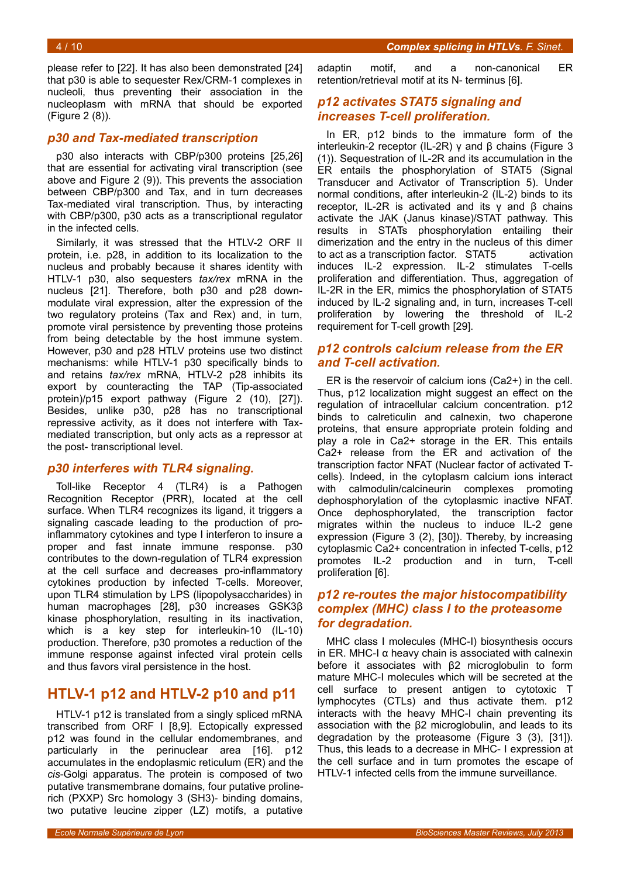4 / 10 *Complex splicing in HTLVs. F. Sinet.*

please refer to [22]. It has also been demonstrated [24] that p30 is able to sequester Rex/CRM-1 complexes in nucleoli, thus preventing their association in the nucleoplasm with mRNA that should be exported (Figure [2](#page-2-0) (8)).

#### *p30 and Tax-mediated transcription*

p30 also interacts with CBP/p300 proteins [25,26] that are essential for activating viral transcription (see above and Figure [2](#page-2-0) (9)). This prevents the association between CBP/p300 and Tax, and in turn decreases Tax-mediated viral transcription. Thus, by interacting with CBP/p300, p30 acts as a transcriptional regulator in the infected cells.

Similarly, it was stressed that the HTLV-2 ORF II protein, i.e. p28, in addition to its localization to the nucleus and probably because it shares identity with HTLV-1 p30, also sequesters *tax/rex* mRNA in the nucleus [21]. Therefore, both p30 and p28 downmodulate viral expression, alter the expression of the two regulatory proteins (Tax and Rex) and, in turn, promote viral persistence by preventing those proteins from being detectable by the host immune system. However, p30 and p28 HTLV proteins use two distinct mechanisms: while HTLV-1 p30 specifically binds to and retains *tax/rex* mRNA, HTLV-2 p28 inhibits its export by counteracting the TAP (Tip-associated protein)/p15 export pathway (Figure [2](#page-2-0) (10), [27]). Besides, unlike p30, p28 has no transcriptional repressive activity, as it does not interfere with Taxmediated transcription, but only acts as a repressor at the post- transcriptional level.

#### *p30 interferes with TLR4 signaling.*

Toll-like Receptor 4 (TLR4) is a Pathogen Recognition Receptor (PRR), located at the cell surface. When TLR4 recognizes its ligand, it triggers a signaling cascade leading to the production of proinflammatory cytokines and type I interferon to insure a proper and fast innate immune response. p30 contributes to the down-regulation of TLR4 expression at the cell surface and decreases pro-inflammatory cytokines production by infected T-cells. Moreover, upon TLR4 stimulation by LPS (lipopolysaccharides) in human macrophages [28], p30 increases GSK3β kinase phosphorylation, resulting in its inactivation, which is a key step for interleukin-10 (IL-10) production. Therefore, p30 promotes a reduction of the immune response against infected viral protein cells and thus favors viral persistence in the host.

# **HTLV-1 p12 and HTLV-2 p10 and p11**

HTLV-1 p12 is translated from a singly spliced mRNA transcribed from ORF I [8,9]. Ectopically expressed p12 was found in the cellular endomembranes, and particularly in the perinuclear area [16]. p12 accumulates in the endoplasmic reticulum (ER) and the *cis*-Golgi apparatus. The protein is composed of two putative transmembrane domains, four putative prolinerich (PXXP) Src homology 3 (SH3)- binding domains, two putative leucine zipper (LZ) motifs, a putative

adaptin motif, and a non-canonical ER retention/retrieval motif at its N- terminus [6].

#### *p12 activates STAT5 signaling and increases T-cell proliferation.*

In ER, p12 binds to the immature form of the interleukin-2 receptor (IL-2R) γ and β chains (Figure [3](#page-4-0) (1)). Sequestration of IL-2R and its accumulation in the ER entails the phosphorylation of STAT5 (Signal Transducer and Activator of Transcription 5). Under normal conditions, after interleukin-2 (IL-2) binds to its receptor, IL-2R is activated and its  $γ$  and  $β$  chains activate the JAK (Janus kinase)/STAT pathway. This results in STATs phosphorylation entailing their dimerization and the entry in the nucleus of this dimer to act as a transcription factor. STAT5 activation induces IL-2 expression. IL-2 stimulates T-cells proliferation and differentiation. Thus, aggregation of IL-2R in the ER, mimics the phosphorylation of STAT5 induced by IL-2 signaling and, in turn, increases T-cell proliferation by lowering the threshold of IL-2 requirement for T-cell growth [29].

#### *p12 controls calcium release from the ER and T-cell activation.*

ER is the reservoir of calcium ions (Ca2+) in the cell. Thus, p12 localization might suggest an effect on the regulation of intracellular calcium concentration. p12 binds to calreticulin and calnexin, two chaperone proteins, that ensure appropriate protein folding and play a role in Ca2+ storage in the ER. This entails Ca2+ release from the ER and activation of the transcription factor NFAT (Nuclear factor of activated Tcells). Indeed, in the cytoplasm calcium ions interact with calmodulin/calcineurin complexes promoting dephosphorylation of the cytoplasmic inactive NFAT. Once dephosphorylated, the transcription factor migrates within the nucleus to induce IL-2 gene expression (Figure [3](#page-4-0) (2), [30]). Thereby, by increasing cytoplasmic Ca2+ concentration in infected T-cells, p12 promotes IL-2 production and in turn, T-cell proliferation [6].

### *p12 re-routes the major histocompatibility complex (MHC) class I to the proteasome for degradation.*

MHC class I molecules (MHC-I) biosynthesis occurs in ER. MHC-I  $\alpha$  heavy chain is associated with calnexin before it associates with β2 microglobulin to form mature MHC-I molecules which will be secreted at the cell surface to present antigen to cytotoxic T lymphocytes (CTLs) and thus activate them. p12 interacts with the heavy MHC-I chain preventing its association with the β2 microglobulin, and leads to its degradation by the proteasome (Figure [3](#page-4-0) (3), [31]). Thus, this leads to a decrease in MHC- I expression at the cell surface and in turn promotes the escape of HTLV-1 infected cells from the immune surveillance.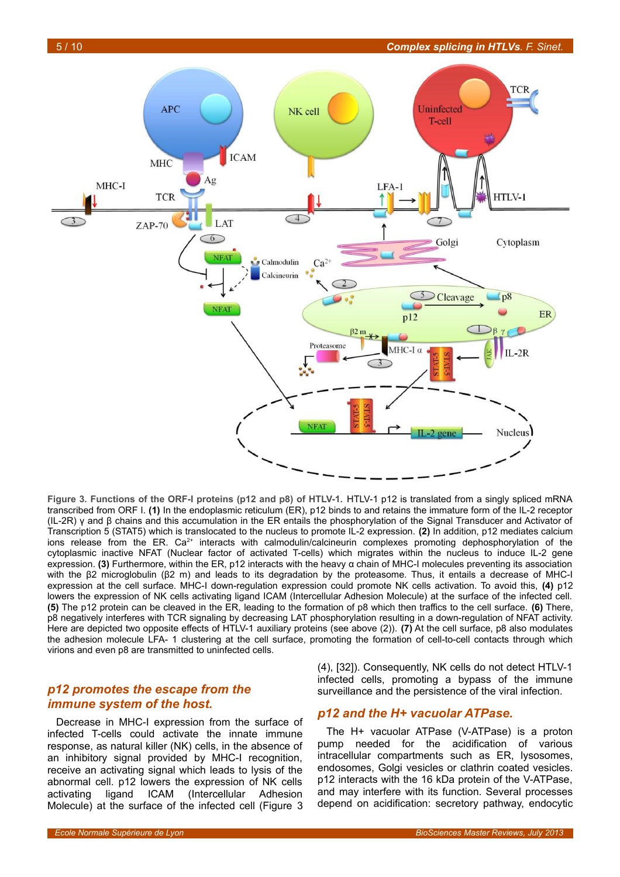

<span id="page-4-0"></span>**Figure 3. Functions of the ORF-I proteins (p12 and p8) of HTLV-1.** HTLV-1 p12 is translated from a singly spliced mRNA transcribed from ORF I. **(1)** In the endoplasmic reticulum (ER), p12 binds to and retains the immature form of the IL-2 receptor (IL-2R) γ and β chains and this accumulation in the ER entails the phosphorylation of the Signal Transducer and Activator of Transcription 5 (STAT5) which is translocated to the nucleus to promote IL-2 expression. **(2)** In addition, p12 mediates calcium ions release from the ER. Ca<sup>2+</sup> interacts with calmodulin/calcineurin complexes promoting dephosphorylation of the cytoplasmic inactive NFAT (Nuclear factor of activated T-cells) which migrates within the nucleus to induce IL-2 gene expression. **(3)** Furthermore, within the ER, p12 interacts with the heavy α chain of MHC-I molecules preventing its association with the β2 microglobulin (β2 m) and leads to its degradation by the proteasome. Thus, it entails a decrease of MHC-I expression at the cell surface. MHC-I down-regulation expression could promote NK cells activation. To avoid this, **(4)** p12 lowers the expression of NK cells activating ligand ICAM (Intercellular Adhesion Molecule) at the surface of the infected cell. **(5)** The p12 protein can be cleaved in the ER, leading to the formation of p8 which then traffics to the cell surface. **(6)** There, p8 negatively interferes with TCR signaling by decreasing LAT phosphorylation resulting in a down-regulation of NFAT activity. Here are depicted two opposite effects of HTLV-1 auxiliary proteins (see above (2)). **(7)** At the cell surface, p8 also modulates the adhesion molecule LFA- 1 clustering at the cell surface, promoting the formation of cell-to-cell contacts through which virions and even p8 are transmitted to uninfected cells.

#### *p12 promotes the escape from the immune system of the host.*

Decrease in MHC-I expression from the surface of infected T-cells could activate the innate immune response, as natural killer (NK) cells, in the absence of an inhibitory signal provided by MHC-I recognition, receive an activating signal which leads to lysis of the abnormal cell. p12 lowers the expression of NK cells activating ligand ICAM (Intercellular Adhesion Molecule) at the surface of the infected cell (Figure [3](#page-4-0)

(4), [32]). Consequently, NK cells do not detect HTLV-1 infected cells, promoting a bypass of the immune surveillance and the persistence of the viral infection.

#### *p12 and the H+ vacuolar ATPase.*

The H+ vacuolar ATPase (V-ATPase) is a proton pump needed for the acidification of various intracellular compartments such as ER, lysosomes, endosomes, Golgi vesicles or clathrin coated vesicles. p12 interacts with the 16 kDa protein of the V-ATPase, and may interfere with its function. Several processes depend on acidification: secretory pathway, endocytic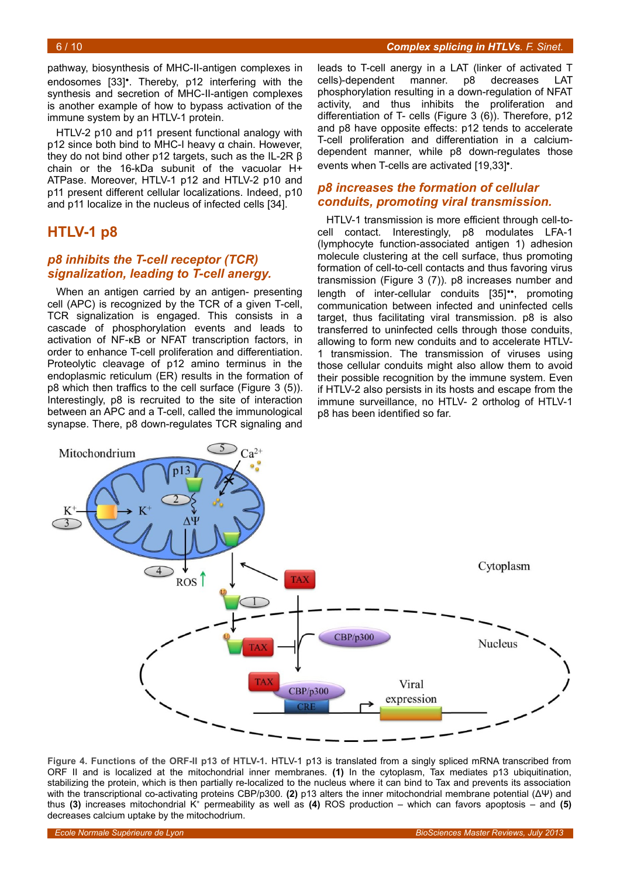pathway, biosynthesis of MHC-II-antigen complexes in endosomes [33]•. Thereby, p12 interfering with the synthesis and secretion of MHC-II-antigen complexes is another example of how to bypass activation of the immune system by an HTLV-1 protein.

HTLV-2 p10 and p11 present functional analogy with p12 since both bind to MHC-I heavy α chain. However, they do not bind other p12 targets, such as the IL-2R β chain or the 16-kDa subunit of the vacuolar H+ ATPase. Moreover, HTLV-1 p12 and HTLV-2 p10 and p11 present different cellular localizations. Indeed, p10 and p11 localize in the nucleus of infected cells [34].

# **HTLV-1 p8**

### *p8 inhibits the T-cell receptor (TCR) signalization, leading to T-cell anergy.*

When an antigen carried by an antigen- presenting cell (APC) is recognized by the TCR of a given T-cell, TCR signalization is engaged. This consists in a cascade of phosphorylation events and leads to activation of NF-κB or NFAT transcription factors, in order to enhance T-cell proliferation and differentiation. Proteolytic cleavage of p12 amino terminus in the endoplasmic reticulum (ER) results in the formation of p8 which then traffics to the cell surface (Figure [3](#page-4-0) (5)). Interestingly, p8 is recruited to the site of interaction between an APC and a T-cell, called the immunological synapse. There, p8 down-regulates TCR signaling and

leads to T-cell anergy in a LAT (linker of activated T cells)-dependent manner. p8 decreases LAT phosphorylation resulting in a down-regulation of NFAT activity, and thus inhibits the proliferation and differentiation of T- cells (Figure 3 (6)). Therefore, p12 and p8 have opposite effects: p12 tends to accelerate T-cell proliferation and differentiation in a calciumdependent manner, while p8 down-regulates those events when T-cells are activated [19,33]•.

#### *p8 increases the formation of cellular conduits, promoting viral transmission.*

HTLV-1 transmission is more efficient through cell-tocell contact. Interestingly, p8 modulates LFA-1 (lymphocyte function-associated antigen 1) adhesion molecule clustering at the cell surface, thus promoting formation of cell-to-cell contacts and thus favoring virus transmission (Figure [3](#page-4-0) (7)). p8 increases number and length of inter-cellular conduits [35]••, promoting communication between infected and uninfected cells target, thus facilitating viral transmission. p8 is also transferred to uninfected cells through those conduits, allowing to form new conduits and to accelerate HTLV-1 transmission. The transmission of viruses using those cellular conduits might also allow them to avoid their possible recognition by the immune system. Even if HTLV-2 also persists in its hosts and escape from the immune surveillance, no HTLV- 2 ortholog of HTLV-1 p8 has been identified so far.



<span id="page-5-0"></span>**Figure 4. Functions of the ORF-II p13 of HTLV-1.** HTLV-1 p13 is translated from a singly spliced mRNA transcribed from ORF II and is localized at the mitochondrial inner membranes. **(1)** In the cytoplasm, Tax mediates p13 ubiquitination, stabilizing the protein, which is then partially re-localized to the nucleus where it can bind to Tax and prevents its association with the transcriptional co-activating proteins CBP/p300. **(2)** p13 alters the inner mitochondrial membrane potential (ΔΨ) and thus **(3)** increases mitochondrial K<sup>+</sup> permeability as well as **(4)** ROS production – which can favors apoptosis – and **(5)** decreases calcium uptake by the mitochodrium.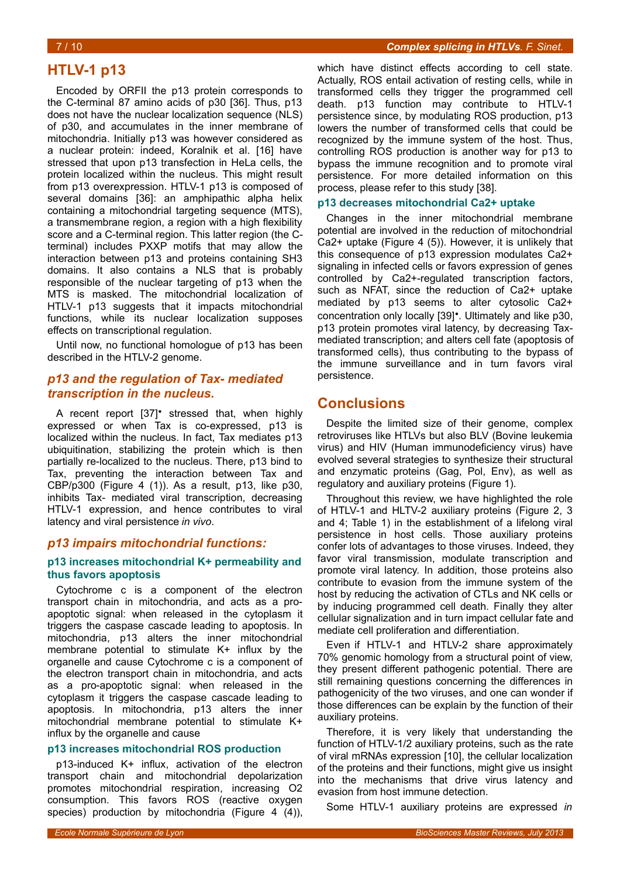# **HTLV-1 p13**

Encoded by ORFII the p13 protein corresponds to the C-terminal 87 amino acids of p30 [36]. Thus, p13 does not have the nuclear localization sequence (NLS) of p30, and accumulates in the inner membrane of mitochondria. Initially p13 was however considered as a nuclear protein: indeed, Koralnik et al. [16] have stressed that upon p13 transfection in HeLa cells, the protein localized within the nucleus. This might result from p13 overexpression. HTLV-1 p13 is composed of several domains [36]: an amphipathic alpha helix containing a mitochondrial targeting sequence (MTS), a transmembrane region, a region with a high flexibility score and a C-terminal region. This latter region (the Cterminal) includes PXXP motifs that may allow the interaction between p13 and proteins containing SH3 domains. It also contains a NLS that is probably responsible of the nuclear targeting of p13 when the MTS is masked. The mitochondrial localization of HTLV-1 p13 suggests that it impacts mitochondrial functions, while its nuclear localization supposes effects on transcriptional regulation.

Until now, no functional homologue of p13 has been described in the HTLV-2 genome.

#### *p13 and the regulation of Tax- mediated transcription in the nucleus.*

A recent report [37]• stressed that, when highly expressed or when Tax is co-expressed, p13 is localized within the nucleus. In fact, Tax mediates p13 ubiquitination, stabilizing the protein which is then partially re-localized to the nucleus. There, p13 bind to Tax, preventing the interaction between Tax and CBP/p300 (Figure [4](#page-5-0) (1)). As a result, p13, like p30, inhibits Tax- mediated viral transcription, decreasing HTLV-1 expression, and hence contributes to viral latency and viral persistence *in vivo*.

#### *p13 impairs mitochondrial functions:*

#### **p13 increases mitochondrial K+ permeability and thus favors apoptosis**

Cytochrome c is a component of the electron transport chain in mitochondria, and acts as a proapoptotic signal: when released in the cytoplasm it triggers the caspase cascade leading to apoptosis. In mitochondria, p13 alters the inner mitochondrial membrane potential to stimulate K+ influx by the organelle and cause Cytochrome c is a component of the electron transport chain in mitochondria, and acts as a pro-apoptotic signal: when released in the cytoplasm it triggers the caspase cascade leading to apoptosis. In mitochondria, p13 alters the inner mitochondrial membrane potential to stimulate K+ influx by the organelle and cause

#### **p13 increases mitochondrial ROS production**

p13-induced K+ influx, activation of the electron transport chain and mitochondrial depolarization promotes mitochondrial respiration, increasing O2 consumption. This favors ROS (reactive oxygen species) production by mitochondria (Figure [4](#page-5-0) (4)),

which have distinct effects according to cell state. Actually, ROS entail activation of resting cells, while in transformed cells they trigger the programmed cell death. p13 function may contribute to HTLV-1 persistence since, by modulating ROS production, p13 lowers the number of transformed cells that could be recognized by the immune system of the host. Thus, controlling ROS production is another way for p13 to bypass the immune recognition and to promote viral persistence. For more detailed information on this process, please refer to this study [38].

#### **p13 decreases mitochondrial Ca2+ uptake**

Changes in the inner mitochondrial membrane potential are involved in the reduction of mitochondrial Ca2+ uptake (Figure [4](#page-5-0) (5)). However, it is unlikely that this consequence of p13 expression modulates Ca2+ signaling in infected cells or favors expression of genes controlled by Ca2+-regulated transcription factors, such as NFAT, since the reduction of Ca2+ uptake mediated by p13 seems to alter cytosolic Ca2+ concentration only locally [39]•. Ultimately and like p30, p13 protein promotes viral latency, by decreasing Taxmediated transcription; and alters cell fate (apoptosis of transformed cells), thus contributing to the bypass of the immune surveillance and in turn favors viral persistence.

### **Conclusions**

Despite the limited size of their genome, complex retroviruses like HTLVs but also BLV (Bovine leukemia virus) and HIV (Human immunodeficiency virus) have evolved several strategies to synthesize their structural and enzymatic proteins (Gag, Pol, Env), as well as regulatory and auxiliary proteins (Figure [1\)](#page-1-0).

Throughout this review, we have highlighted the role of HTLV-1 and HLTV-2 auxiliary proteins (Figure 2, 3 and 4; Table [1\)](#page-7-0) in the establishment of a lifelong viral persistence in host cells. Those auxiliary proteins confer lots of advantages to those viruses. Indeed, they favor viral transmission, modulate transcription and promote viral latency. In addition, those proteins also contribute to evasion from the immune system of the host by reducing the activation of CTLs and NK cells or by inducing programmed cell death. Finally they alter cellular signalization and in turn impact cellular fate and mediate cell proliferation and differentiation.

Even if HTLV-1 and HTLV-2 share approximately 70% genomic homology from a structural point of view, they present different pathogenic potential. There are still remaining questions concerning the differences in pathogenicity of the two viruses, and one can wonder if those differences can be explain by the function of their auxiliary proteins.

Therefore, it is very likely that understanding the function of HTLV-1/2 auxiliary proteins, such as the rate of viral mRNAs expression [10], the cellular localization of the proteins and their functions, might give us insight into the mechanisms that drive virus latency and evasion from host immune detection.

Some HTLV-1 auxiliary proteins are expressed *in*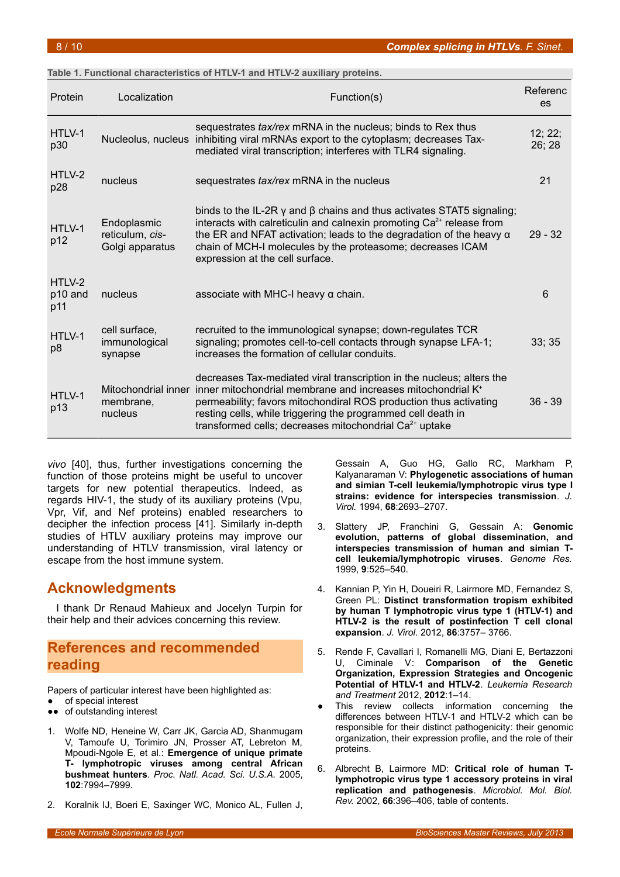#### <span id="page-7-0"></span>**Table 1. Functional characteristics of HTLV-1 and HTLV-2 auxiliary proteins.**

| Protein                              | Localization                                      | Function(s)                                                                                                                                                                                                                                                                                                                                                                     | Referenc<br>es    |
|--------------------------------------|---------------------------------------------------|---------------------------------------------------------------------------------------------------------------------------------------------------------------------------------------------------------------------------------------------------------------------------------------------------------------------------------------------------------------------------------|-------------------|
| HTLV-1<br>p30                        |                                                   | sequestrates <i>tax/rex</i> mRNA in the nucleus; binds to Rex thus<br>Nucleolus, nucleus inhibiting viral mRNAs export to the cytoplasm; decreases Tax-<br>mediated viral transcription; interferes with TLR4 signaling.                                                                                                                                                        | 12; 22;<br>26; 28 |
| HTLV-2<br>p28                        | nucleus                                           | sequestrates tax/rex mRNA in the nucleus                                                                                                                                                                                                                                                                                                                                        | 21                |
| HTLV-1<br>p12                        | Endoplasmic<br>reticulum, cis-<br>Golgi apparatus | binds to the IL-2R $\gamma$ and $\beta$ chains and thus activates STAT5 signaling;<br>interacts with calreticulin and calnexin promoting $Ca2+$ release from<br>the ER and NFAT activation; leads to the degradation of the heavy $\alpha$<br>chain of MCH-I molecules by the proteasome; decreases ICAM<br>expression at the cell surface.                                     | $29 - 32$         |
| HTLV-2<br>p <sub>10</sub> and<br>p11 | nucleus                                           | associate with MHC-I heavy $\alpha$ chain.                                                                                                                                                                                                                                                                                                                                      | 6                 |
| HTLV-1<br>p8                         | cell surface,<br>immunological<br>synapse         | recruited to the immunological synapse; down-regulates TCR<br>signaling; promotes cell-to-cell contacts through synapse LFA-1;<br>increases the formation of cellular conduits.                                                                                                                                                                                                 | 33; 35            |
| HTLV-1<br>p13                        | membrane,<br>nucleus                              | decreases Tax-mediated viral transcription in the nucleus; alters the<br>Mitochondrial inner inner mitochondrial membrane and increases mitochondrial K <sup>+</sup><br>permeability; favors mitochondiral ROS production thus activating<br>resting cells, while triggering the programmed cell death in<br>transformed cells; decreases mitochondrial Ca <sup>2+</sup> uptake | $36 - 39$         |

*vivo* [40], thus, further investigations concerning the function of those proteins might be useful to uncover targets for new potential therapeutics. Indeed, as regards HIV-1, the study of its auxiliary proteins (Vpu, Vpr, Vif, and Nef proteins) enabled researchers to decipher the infection process [41]. Similarly in-depth studies of HTLV auxiliary proteins may improve our understanding of HTLV transmission, viral latency or escape from the host immune system.

# **Acknowledgments**

I thank Dr Renaud Mahieux and Jocelyn Turpin for their help and their advices concerning this review.

# **References and recommended reading**

Papers of particular interest have been highlighted as:

- of special interest
- ●● of outstanding interest
- 1. Wolfe ND, Heneine W, Carr JK, Garcia AD, Shanmugam V, Tamoufe U, Torimiro JN, Prosser AT, Lebreton M, Mpoudi-Ngole E, et al.: **Emergence of unique primate T- lymphotropic viruses among central African bushmeat hunters**. *Proc. Natl. Acad. Sci. U.S.A.* 2005, **102**:7994–7999.
- 2. Koralnik IJ, Boeri E, Saxinger WC, Monico AL, Fullen J,

Gessain A, Guo HG, Gallo RC, Markham P, Kalyanaraman V: **Phylogenetic associations of human and simian T-cell leukemia/lymphotropic virus type I strains: evidence for interspecies transmission**. *J. Virol.* 1994, **68**:2693–2707.

- 3. Slattery JP, Franchini G, Gessain A: **Genomic evolution, patterns of global dissemination, and interspecies transmission of human and simian Tcell leukemia/lymphotropic viruses**. *Genome Res.* 1999, **9**:525–540.
- 4. Kannian P, Yin H, Doueiri R, Lairmore MD, Fernandez S, Green PL: **Distinct transformation tropism exhibited by human T lymphotropic virus type 1 (HTLV-1) and HTLV-2 is the result of postinfection T cell clonal expansion**. *J. Virol.* 2012, **86**:3757– 3766.
- 5. Rende F, Cavallari I, Romanelli MG, Diani E, Bertazzoni U, Ciminale V: **Comparison of the Genetic Organization, Expression Strategies and Oncogenic Potential of HTLV-1 and HTLV-2**. *Leukemia Research and Treatment* 2012, **2012**:1–14.
- This review collects information concerning the differences between HTLV-1 and HTLV-2 which can be responsible for their distinct pathogenicity: their genomic organization, their expression profile, and the role of their proteins.
- 6. Albrecht B, Lairmore MD: **Critical role of human Tlymphotropic virus type 1 accessory proteins in viral replication and pathogenesis**. *Microbiol. Mol. Biol. Rev.* 2002, **66**:396–406, table of contents.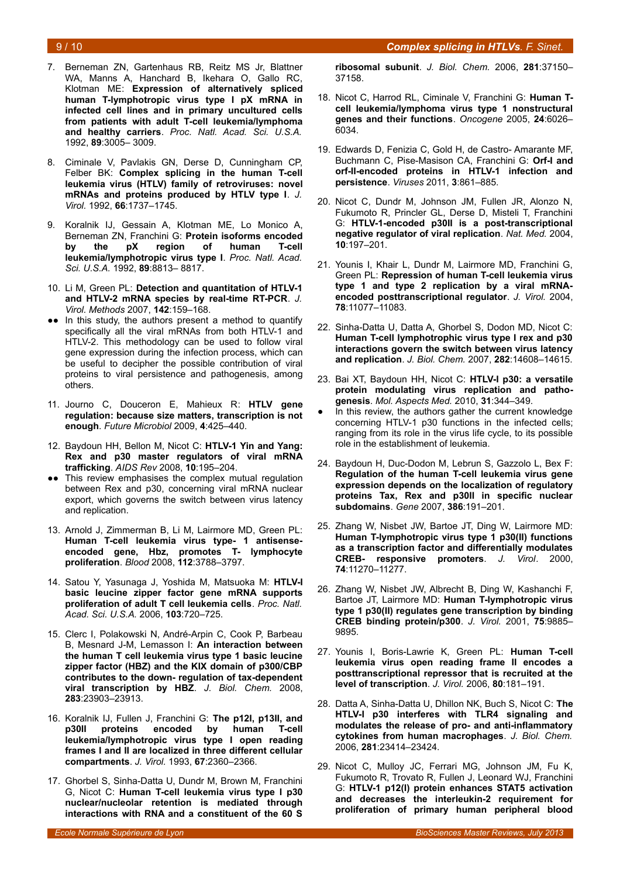#### 9 / 10 *Complex splicing in HTLVs. F. Sinet.*

- 7. Berneman ZN, Gartenhaus RB, Reitz MS Jr, Blattner WA, Manns A, Hanchard B, Ikehara O, Gallo RC, Klotman ME: **Expression of alternatively spliced human T-lymphotropic virus type I pX mRNA in infected cell lines and in primary uncultured cells from patients with adult T-cell leukemia/lymphoma and healthy carriers**. *Proc. Natl. Acad. Sci. U.S.A.* 1992, **89**:3005– 3009.
- 8. Ciminale V, Pavlakis GN, Derse D, Cunningham CP, Felber BK: **Complex splicing in the human T-cell leukemia virus (HTLV) family of retroviruses: novel mRNAs and proteins produced by HTLV type I**. *J. Virol.* 1992, **66**:1737–1745.
- 9. Koralnik IJ, Gessain A, Klotman ME, Lo Monico A, Berneman ZN, Franchini G: **Protein isoforms encoded by the pX region of human T-cell leukemia/lymphotropic virus type I**. *Proc. Natl. Acad. Sci. U.S.A.* 1992, **89**:8813– 8817.
- 10. Li M, Green PL: **Detection and quantitation of HTLV-1 and HTLV-2 mRNA species by real-time RT-PCR**. *J. Virol. Methods* 2007, **142**:159–168.
- ●● In this study, the authors present a method to quantify specifically all the viral mRNAs from both HTLV-1 and HTLV-2. This methodology can be used to follow viral gene expression during the infection process, which can be useful to decipher the possible contribution of viral proteins to viral persistence and pathogenesis, among others.
- 11. Journo C, Douceron E, Mahieux R: **HTLV gene regulation: because size matters, transcription is not enough**. *Future Microbiol* 2009, **4**:425–440.
- 12. Baydoun HH, Bellon M, Nicot C: **HTLV-1 Yin and Yang: Rex and p30 master regulators of viral mRNA trafficking**. *AIDS Rev* 2008, **10**:195–204.
- This review emphasises the complex mutual regulation between Rex and p30, concerning viral mRNA nuclear export, which governs the switch between virus latency and replication.
- 13. Arnold J, Zimmerman B, Li M, Lairmore MD, Green PL: **Human T-cell leukemia virus type- 1 antisenseencoded gene, Hbz, promotes T- lymphocyte proliferation**. *Blood* 2008, **112**:3788–3797.
- 14. Satou Y, Yasunaga J, Yoshida M, Matsuoka M: **HTLV-I basic leucine zipper factor gene mRNA supports proliferation of adult T cell leukemia cells**. *Proc. Natl. Acad. Sci. U.S.A.* 2006, **103**:720–725.
- 15. Clerc I, Polakowski N, André-Arpin C, Cook P, Barbeau B, Mesnard J-M, Lemasson I: **An interaction between the human T cell leukemia virus type 1 basic leucine zipper factor (HBZ) and the KIX domain of p300/CBP contributes to the down- regulation of tax-dependent viral transcription by HBZ**. *J. Biol. Chem.* 2008, **283**:23903–23913.
- 16. Koralnik IJ, Fullen J, Franchini G: **The p12I, p13II, and p30II proteins encoded by human T-cell leukemia/lymphotropic virus type I open reading frames I and II are localized in three different cellular compartments**. *J. Virol.* 1993, **67**:2360–2366.
- 17. Ghorbel S, Sinha-Datta U, Dundr M, Brown M, Franchini G, Nicot C: **Human T-cell leukemia virus type I p30 nuclear/nucleolar retention is mediated through interactions with RNA and a constituent of the 60 S**

**ribosomal subunit**. *J. Biol. Chem.* 2006, **281**:37150– 37158.

- 18. Nicot C, Harrod RL, Ciminale V, Franchini G: **Human Tcell leukemia/lymphoma virus type 1 nonstructural genes and their functions**. *Oncogene* 2005, **24**:6026– 6034.
- 19. Edwards D, Fenizia C, Gold H, de Castro- Amarante MF, Buchmann C, Pise-Masison CA, Franchini G: **Orf-I and orf-II-encoded proteins in HTLV-1 infection and persistence**. *Viruses* 2011, **3**:861–885.
- 20. Nicot C, Dundr M, Johnson JM, Fullen JR, Alonzo N, Fukumoto R, Princler GL, Derse D, Misteli T, Franchini G: **HTLV-1-encoded p30II is a post-transcriptional negative regulator of viral replication**. *Nat. Med.* 2004, **10**:197–201.
- 21. Younis I, Khair L, Dundr M, Lairmore MD, Franchini G, Green PL: **Repression of human T-cell leukemia virus type 1 and type 2 replication by a viral mRNAencoded posttranscriptional regulator**. *J. Virol.* 2004, **78**:11077–11083.
- 22. Sinha-Datta U, Datta A, Ghorbel S, Dodon MD, Nicot C: **Human T-cell lymphotrophic virus type I rex and p30 interactions govern the switch between virus latency and replication**. *J. Biol. Chem.* 2007, **282**:14608–14615.
- 23. Bai XT, Baydoun HH, Nicot C: **HTLV-I p30: a versatile protein modulating virus replication and pathogenesis**. *Mol. Aspects Med.* 2010, **31**:344–349.
- In this review, the authors gather the current knowledge concerning HTLV-1 p30 functions in the infected cells; ranging from its role in the virus life cycle, to its possible role in the establishment of leukemia.
- 24. Baydoun H, Duc-Dodon M, Lebrun S, Gazzolo L, Bex F: **Regulation of the human T-cell leukemia virus gene expression depends on the localization of regulatory proteins Tax, Rex and p30II in specific nuclear subdomains**. *Gene* 2007, **386**:191–201.
- 25. Zhang W, Nisbet JW, Bartoe JT, Ding W, Lairmore MD: **Human T-lymphotropic virus type 1 p30(II) functions as a transcription factor and differentially modulates CREB- responsive promoters**. *J. Virol.* 2000, **74**:11270–11277.
- 26. Zhang W, Nisbet JW, Albrecht B, Ding W, Kashanchi F, Bartoe JT, Lairmore MD: **Human T-lymphotropic virus type 1 p30(II) regulates gene transcription by binding CREB binding protein/p300**. *J. Virol.* 2001, **75**:9885– 9895.
- 27. Younis I, Boris-Lawrie K, Green PL: **Human T-cell leukemia virus open reading frame II encodes a posttranscriptional repressor that is recruited at the level of transcription**. *J. Virol.* 2006, **80**:181–191.
- 28. Datta A, Sinha-Datta U, Dhillon NK, Buch S, Nicot C: **The HTLV-I p30 interferes with TLR4 signaling and modulates the release of pro- and anti-inflammatory cytokines from human macrophages**. *J. Biol. Chem.* 2006, **281**:23414–23424.
- 29. Nicot C, Mulloy JC, Ferrari MG, Johnson JM, Fu K, Fukumoto R, Trovato R, Fullen J, Leonard WJ, Franchini G: **HTLV-1 p12(I) protein enhances STAT5 activation and decreases the interleukin-2 requirement for proliferation of primary human peripheral blood**